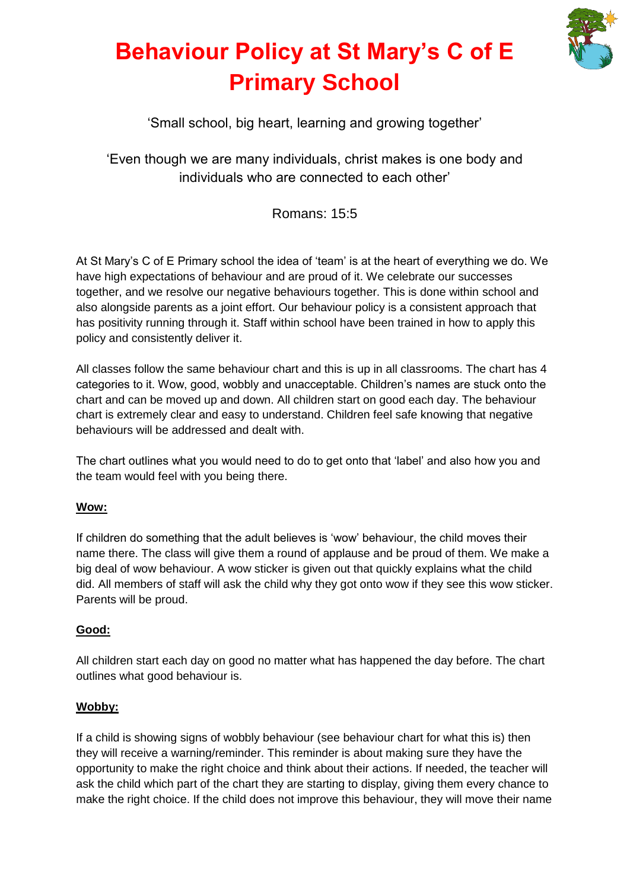

## **Behaviour Policy at St Mary's C of E Primary School**

'Small school, big heart, learning and growing together'

'Even though we are many individuals, christ makes is one body and individuals who are connected to each other'

Romans: 15:5

At St Mary's C of E Primary school the idea of 'team' is at the heart of everything we do. We have high expectations of behaviour and are proud of it. We celebrate our successes together, and we resolve our negative behaviours together. This is done within school and also alongside parents as a joint effort. Our behaviour policy is a consistent approach that has positivity running through it. Staff within school have been trained in how to apply this policy and consistently deliver it.

All classes follow the same behaviour chart and this is up in all classrooms. The chart has 4 categories to it. Wow, good, wobbly and unacceptable. Children's names are stuck onto the chart and can be moved up and down. All children start on good each day. The behaviour chart is extremely clear and easy to understand. Children feel safe knowing that negative behaviours will be addressed and dealt with.

The chart outlines what you would need to do to get onto that 'label' and also how you and the team would feel with you being there.

## **Wow:**

If children do something that the adult believes is 'wow' behaviour, the child moves their name there. The class will give them a round of applause and be proud of them. We make a big deal of wow behaviour. A wow sticker is given out that quickly explains what the child did. All members of staff will ask the child why they got onto wow if they see this wow sticker. Parents will be proud.

## **Good:**

All children start each day on good no matter what has happened the day before. The chart outlines what good behaviour is.

### **Wobby:**

If a child is showing signs of wobbly behaviour (see behaviour chart for what this is) then they will receive a warning/reminder. This reminder is about making sure they have the opportunity to make the right choice and think about their actions. If needed, the teacher will ask the child which part of the chart they are starting to display, giving them every chance to make the right choice. If the child does not improve this behaviour, they will move their name